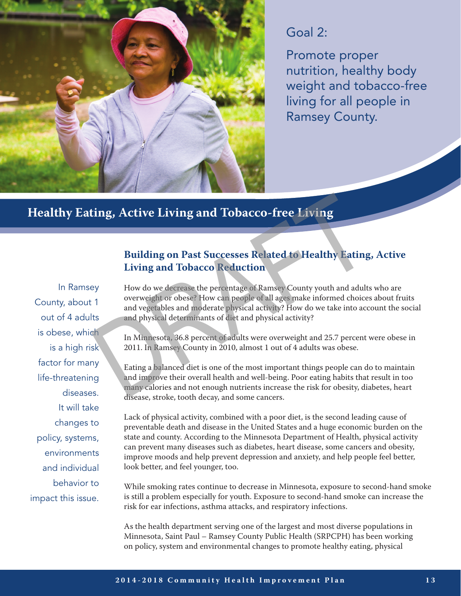

### Goal 2:

Promote proper nutrition, healthy body weight and tobacco-free living for all people in Ramsey County.

#### **Healthy Eating, Active Living and Tobacco-free Living**

In Ramsey County, about 1 out of 4 adults is obese, which is a high risk factor for many life-threatening diseases. It will take changes to policy, systems, environments and individual behavior to impact this issue.

#### **Building on Past Successes Related to Healthy Eating, Active Living and Tobacco Reduction**

How do we decrease the percentage of Ramsey County youth and adults who are overweight or obese? How can people of all ages make informed choices about fruits and vegetables and moderate physical activity? How do we take into account the social and physical determinants of diet and physical activity? **Example 18 Active Living and Tobacco-free Living<br>
Building on Past Successes Related to Healthy Eating<br>
Living and Tobacco Reduction<br>
Buy do we decrease the percentage of Ramsey County youth and adults<br>
overweight or obes** 

In Minnesota, 36.8 percent of adults were overweight and 25.7 percent were obese in 2011. In Ramsey County in 2010, almost 1 out of 4 adults was obese.

Eating a balanced diet is one of the most important things people can do to maintain and improve their overall health and well-being. Poor eating habits that result in too many calories and not enough nutrients increase the risk for obesity, diabetes, heart disease, stroke, tooth decay, and some cancers.

Lack of physical activity, combined with a poor diet, is the second leading cause of preventable death and disease in the United States and a huge economic burden on the state and county. According to the Minnesota Department of Health, physical activity can prevent many diseases such as diabetes, heart disease, some cancers and obesity, improve moods and help prevent depression and anxiety, and help people feel better, look better, and feel younger, too.

While smoking rates continue to decrease in Minnesota, exposure to second-hand smoke is still a problem especially for youth. Exposure to second-hand smoke can increase the risk for ear infections, asthma attacks, and respiratory infections.

As the health department serving one of the largest and most diverse populations in Minnesota, Saint Paul – Ramsey County Public Health (SRPCPH) has been working on policy, system and environmental changes to promote healthy eating, physical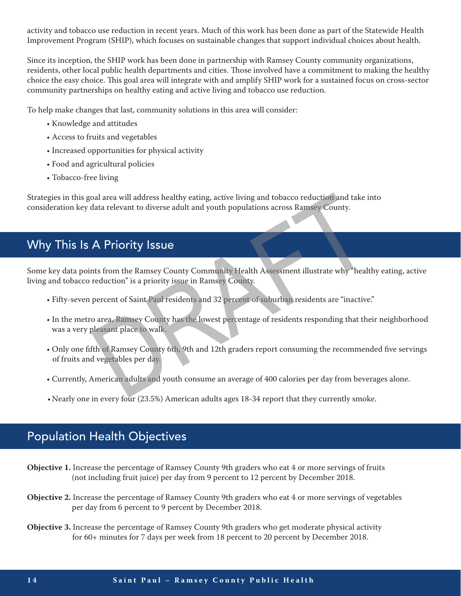activity and tobacco use reduction in recent years. Much of this work has been done as part of the Statewide Health Improvement Program (SHIP), which focuses on sustainable changes that support individual choices about health.

Since its inception, the SHIP work has been done in partnership with Ramsey County community organizations, residents, other local public health departments and cities. Those involved have a commitment to making the healthy choice the easy choice. This goal area will integrate with and amplify SHIP work for a sustained focus on cross-sector community partnerships on healthy eating and active living and tobacco use reduction.

To help make changes that last, community solutions in this area will consider:

- Knowledge and attitudes
- Access to fruits and vegetables
- Increased opportunities for physical activity
- Food and agricultural policies
- Tobacco-free living

Strategies in this goal area will address healthy eating, active living and tobacco reduction and take into consideration key data relevant to diverse adult and youth populations across Ramsey County.

# Why This Is A Priority Issue

Some key data points from the Ramsey County Community Health Assessment illustrate why "healthy eating, active living and tobacco reduction" is a priority issue in Ramsey County. and area will address healthy eating, active living and tobacco reduction and take in<br>that a relevant to diverse adult and youth populations across Ramsey County.<br>
A Priority Issue<br>
A Priority Issue in Ramsey County.<br>
A Pr

- Fifty-seven percent of Saint Paul residents and 32 percent of suburban residents are "inactive."
- In the metro area, Ramsey County has the lowest percentage of residents responding that their neighborhood was a very pleasant place to walk.
- Only one fifth of Ramsey County 6th, 9th and 12th graders report consuming the recommended five servings of fruits and vegetables per day.
- Currently, American adults and youth consume an average of 400 calories per day from beverages alone.
- •Nearly one in every four (23.5%) American adults ages 18-34 report that they currently smoke.

## Population Health Objectives

- **Objective 1.** Increase the percentage of Ramsey County 9th graders who eat 4 or more servings of fruits (not including fruit juice) per day from 9 percent to 12 percent by December 2018.
- **Objective 2.** Increase the percentage of Ramsey County 9th graders who eat 4 or more servings of vegetables per day from 6 percent to 9 percent by December 2018.
- **Objective 3.** Increase the percentage of Ramsey County 9th graders who get moderate physical activity for 60+ minutes for 7 days per week from 18 percent to 20 percent by December 2018.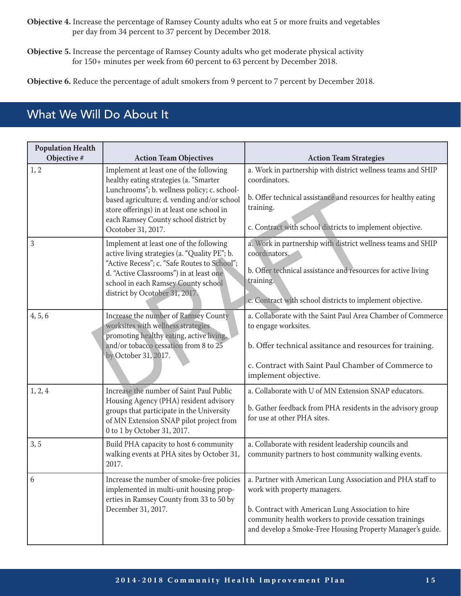- **Objective 4.** Increase the percentage of Ramsey County adults who eat 5 or more fruits and vegetables per day from 34 percent to 37 percent by December 2018.
- **Objective 5.** Increase the percentage of Ramsey County adults who get moderate physical activity for 150+ minutes per week from 60 percent to 63 percent by December 2018.

**Objective 6.** Reduce the percentage of adult smokers from 9 percent to 7 percent by December 2018.

# What We Will Do About It

| <b>Population Health</b><br>Objective # | <b>Action Team Objectives</b>                                                                                                                                                                                                                                                                | <b>Action Team Strategies</b>                                                                                                                                                                                                                                             |
|-----------------------------------------|----------------------------------------------------------------------------------------------------------------------------------------------------------------------------------------------------------------------------------------------------------------------------------------------|---------------------------------------------------------------------------------------------------------------------------------------------------------------------------------------------------------------------------------------------------------------------------|
| 1, 2                                    | Implement at least one of the following<br>healthy eating strategies (a. "Smarter<br>Lunchrooms"; b. wellness policy; c. school-<br>based agriculture; d. vending and/or school<br>store offerings) in at least one school in<br>each Ramsey County school district by<br>Ocotober 31, 2017. | a. Work in partnership with district wellness teams and SHIP<br>coordinators.<br>b. Offer technical assistance and resources for healthy eating<br>training.<br>c. Contract with school districts to implement objective.                                                 |
| $\mathfrak{Z}$                          | Implement at least one of the following<br>active living strategies (a. "Quality PE"; b.<br>"Active Recess"; c. "Safe Routes to School";<br>d. "Active Classrooms") in at least one<br>school in each Ramsey County school<br>district by Ocotober 31, 2017.                                 | a. Work in partnership with district wellness teams and SHIP<br>coordinators.<br>b. Offer technical assistance and resources for active living<br>training.<br>e. Contract with school districts to implement objective.                                                  |
| 4, 5, 6                                 | Increase the number of Ramsey County<br>worksites with wellness strategies<br>promoting healthy eating, active living,<br>and/or tobacco cessation from 8 to 25<br>by October 31, 2017.                                                                                                      | a. Collaborate with the Saint Paul Area Chamber of Commerce<br>to engage worksites.<br>b. Offer technical assitance and resources for training.<br>c. Contract with Saint Paul Chamber of Commerce to<br>implement objective.                                             |
| 1, 2, 4                                 | Increase the number of Saint Paul Public<br>Housing Agency (PHA) resident advisory<br>groups that participate in the University<br>of MN Extension SNAP pilot project from<br>0 to 1 by October 31, 2017.                                                                                    | a. Collaborate with U of MN Extension SNAP educators.<br>b. Gather feedback from PHA residents in the advisory group<br>for use at other PHA sites.                                                                                                                       |
| 3, 5                                    | Build PHA capacity to host 6 community<br>walking events at PHA sites by October 31,<br>2017.                                                                                                                                                                                                | a. Collaborate with resident leadership councils and<br>community partners to host community walking events.                                                                                                                                                              |
| 6                                       | Increase the number of smoke-free policies<br>implemented in multi-unit housing prop-<br>erties in Ramsey County from 33 to 50 by<br>December 31, 2017.                                                                                                                                      | a. Partner with American Lung Association and PHA staff to<br>work with property managers.<br>b. Contract with American Lung Association to hire<br>community health workers to provide cessation trainings<br>and develop a Smoke-Free Housing Property Manager's guide. |